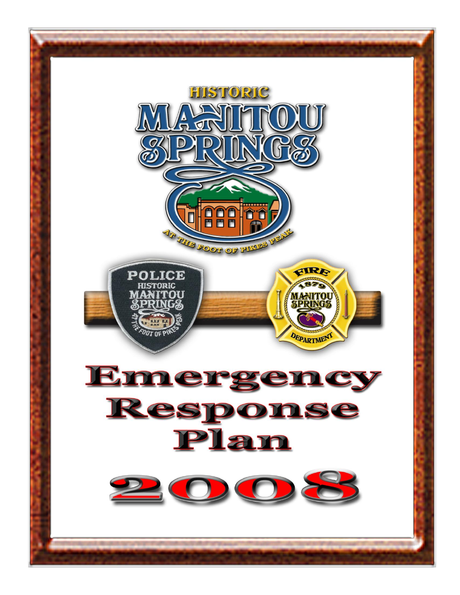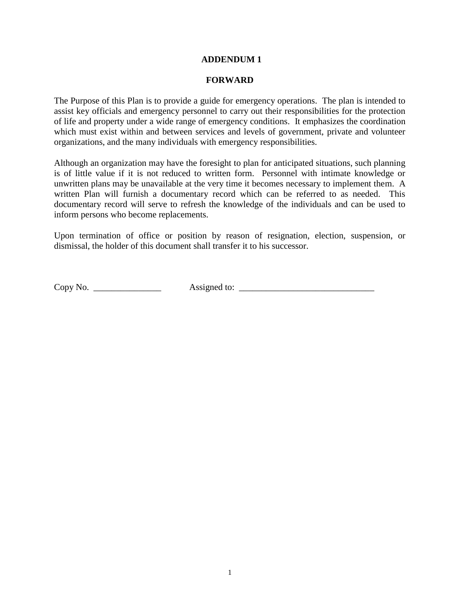#### **ADDENDUM 1**

#### **FORWARD**

The Purpose of this Plan is to provide a guide for emergency operations. The plan is intended to assist key officials and emergency personnel to carry out their responsibilities for the protection of life and property under a wide range of emergency conditions. It emphasizes the coordination which must exist within and between services and levels of government, private and volunteer organizations, and the many individuals with emergency responsibilities.

Although an organization may have the foresight to plan for anticipated situations, such planning is of little value if it is not reduced to written form. Personnel with intimate knowledge or unwritten plans may be unavailable at the very time it becomes necessary to implement them. A written Plan will furnish a documentary record which can be referred to as needed. This documentary record will serve to refresh the knowledge of the individuals and can be used to inform persons who become replacements.

Upon termination of office or position by reason of resignation, election, suspension, or dismissal, the holder of this document shall transfer it to his successor.

Copy No.  $\_\_$  Assigned to:  $\_\_$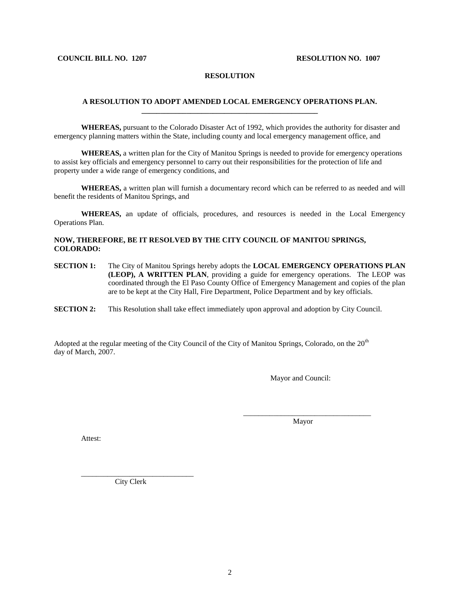#### **COUNCIL BILL NO. 1207 RESOLUTION NO. 1007**

#### **RESOLUTION**

#### **A RESOLUTION TO ADOPT AMENDED LOCAL EMERGENCY OPERATIONS PLAN. \_\_\_\_\_\_\_\_\_\_\_\_\_\_\_\_\_\_\_\_\_\_\_\_\_\_\_\_\_\_\_\_\_\_\_\_\_\_\_\_\_\_\_\_\_\_\_**

**WHEREAS,** pursuant to the Colorado Disaster Act of 1992, which provides the authority for disaster and emergency planning matters within the State, including county and local emergency management office, and

**WHEREAS,** a written plan for the City of Manitou Springs is needed to provide for emergency operations to assist key officials and emergency personnel to carry out their responsibilities for the protection of life and property under a wide range of emergency conditions, and

**WHEREAS,** a written plan will furnish a documentary record which can be referred to as needed and will benefit the residents of Manitou Springs, and

**WHEREAS,** an update of officials, procedures, and resources is needed in the Local Emergency Operations Plan.

#### **NOW, THEREFORE, BE IT RESOLVED BY THE CITY COUNCIL OF MANITOU SPRINGS, COLORADO:**

**SECTION 1:** The City of Manitou Springs hereby adopts the **LOCAL EMERGENCY OPERATIONS PLAN (LEOP), A WRITTEN PLAN**, providing a guide for emergency operations. The LEOP was coordinated through the El Paso County Office of Emergency Management and copies of the plan are to be kept at the City Hall, Fire Department, Police Department and by key officials.

**SECTION 2:** This Resolution shall take effect immediately upon approval and adoption by City Council.

Adopted at the regular meeting of the City Council of the City of Manitou Springs, Colorado, on the 20<sup>th</sup> day of March, 2007.

Mayor and Council:

\_\_\_\_\_\_\_\_\_\_\_\_\_\_\_\_\_\_\_\_\_\_\_\_\_\_\_\_\_\_\_\_\_\_ Mayor

Attest:

\_\_\_\_\_\_\_\_\_\_\_\_\_\_\_\_\_\_\_\_\_\_\_\_\_\_\_\_\_\_ City Clerk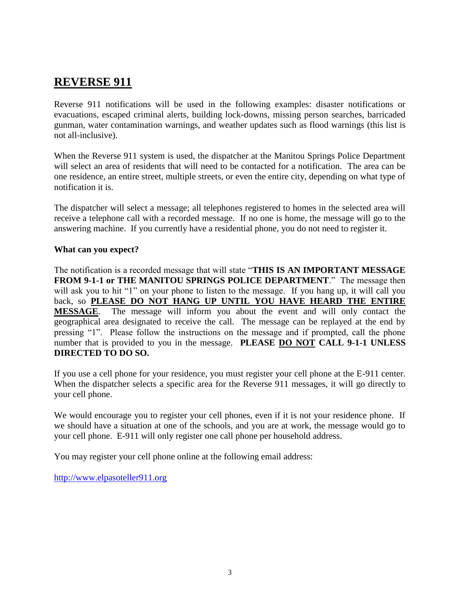# **REVERSE 911**

Reverse 911 notifications will be used in the following examples: disaster notifications or evacuations, escaped criminal alerts, building lock-downs, missing person searches, barricaded gunman, water contamination warnings, and weather updates such as flood warnings (this list is not all-inclusive).

When the Reverse 911 system is used, the dispatcher at the Manitou Springs Police Department will select an area of residents that will need to be contacted for a notification. The area can be one residence, an entire street, multiple streets, or even the entire city, depending on what type of notification it is.

The dispatcher will select a message; all telephones registered to homes in the selected area will receive a telephone call with a recorded message. If no one is home, the message will go to the answering machine. If you currently have a residential phone, you do not need to register it.

#### **What can you expect?**

The notification is a recorded message that will state "**THIS IS AN IMPORTANT MESSAGE FROM 9-1-1 or THE MANITOU SPRINGS POLICE DEPARTMENT**." The message then will ask you to hit "1" on your phone to listen to the message. If you hang up, it will call you back, so **PLEASE DO NOT HANG UP UNTIL YOU HAVE HEARD THE ENTIRE MESSAGE**. The message will inform you about the event and will only contact the geographical area designated to receive the call. The message can be replayed at the end by pressing "1". Please follow the instructions on the message and if prompted, call the phone number that is provided to you in the message. **PLEASE DO NOT CALL 9-1-1 UNLESS DIRECTED TO DO SO.**

If you use a cell phone for your residence, you must register your cell phone at the E-911 center. When the dispatcher selects a specific area for the Reverse 911 messages, it will go directly to your cell phone.

We would encourage you to register your cell phones, even if it is not your residence phone. If we should have a situation at one of the schools, and you are at work, the message would go to your cell phone. E-911 will only register one call phone per household address.

You may register your cell phone online at the following email address:

[http://www.elpasoteller911.org](http://www.elpasoteller911.org/)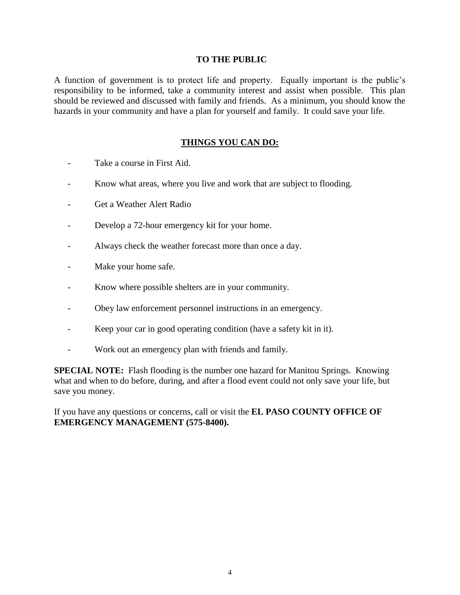#### **TO THE PUBLIC**

A function of government is to protect life and property. Equally important is the public's responsibility to be informed, take a community interest and assist when possible. This plan should be reviewed and discussed with family and friends. As a minimum, you should know the hazards in your community and have a plan for yourself and family. It could save your life.

#### **THINGS YOU CAN DO:**

- Take a course in First Aid.
- Know what areas, where you live and work that are subject to flooding.
- Get a Weather Alert Radio
- Develop a 72-hour emergency kit for your home.
- Always check the weather forecast more than once a day.
- Make your home safe.
- Know where possible shelters are in your community.
- Obey law enforcement personnel instructions in an emergency.
- Keep your car in good operating condition (have a safety kit in it).
- Work out an emergency plan with friends and family.

**SPECIAL NOTE:** Flash flooding is the number one hazard for Manitou Springs. Knowing what and when to do before, during, and after a flood event could not only save your life, but save you money.

If you have any questions or concerns, call or visit the **EL PASO COUNTY OFFICE OF EMERGENCY MANAGEMENT (575-8400).**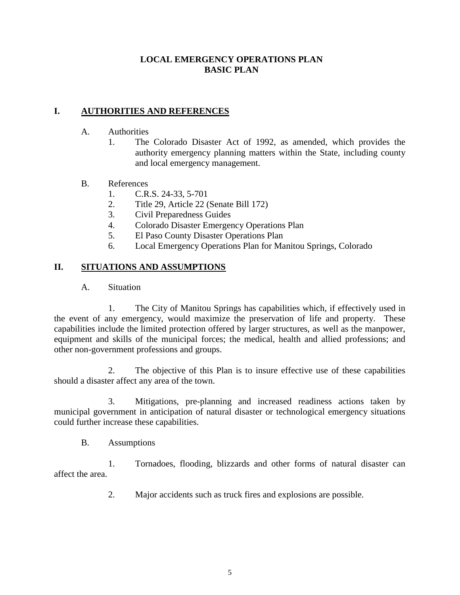#### **LOCAL EMERGENCY OPERATIONS PLAN BASIC PLAN**

#### **I. AUTHORITIES AND REFERENCES**

- A. Authorities
	- 1. The Colorado Disaster Act of 1992, as amended, which provides the authority emergency planning matters within the State, including county and local emergency management.

#### B. References

- 1. C.R.S. 24-33, 5-701
- 2. Title 29, Article 22 (Senate Bill 172)
- 3. Civil Preparedness Guides
- 4. Colorado Disaster Emergency Operations Plan
- 5. El Paso County Disaster Operations Plan
- 6. Local Emergency Operations Plan for Manitou Springs, Colorado

#### **II. SITUATIONS AND ASSUMPTIONS**

A. Situation

1. The City of Manitou Springs has capabilities which, if effectively used in the event of any emergency, would maximize the preservation of life and property. These capabilities include the limited protection offered by larger structures, as well as the manpower, equipment and skills of the municipal forces; the medical, health and allied professions; and other non-government professions and groups.

2. The objective of this Plan is to insure effective use of these capabilities should a disaster affect any area of the town.

3. Mitigations, pre-planning and increased readiness actions taken by municipal government in anticipation of natural disaster or technological emergency situations could further increase these capabilities.

B. Assumptions

1. Tornadoes, flooding, blizzards and other forms of natural disaster can affect the area.

2. Major accidents such as truck fires and explosions are possible.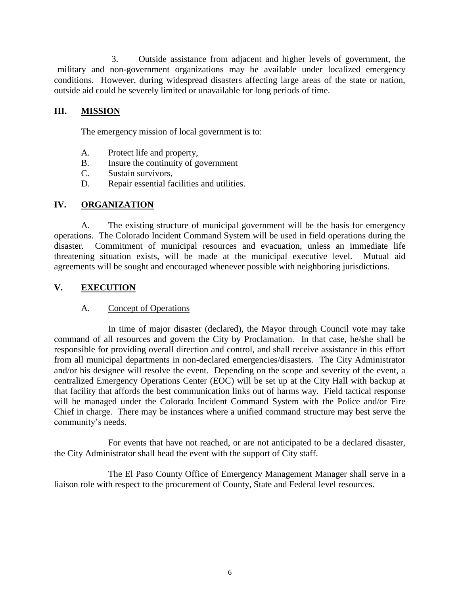3. Outside assistance from adjacent and higher levels of government, the military and non-government organizations may be available under localized emergency conditions. However, during widespread disasters affecting large areas of the state or nation, outside aid could be severely limited or unavailable for long periods of time.

#### **III. MISSION**

The emergency mission of local government is to:

- A. Protect life and property,
- B. Insure the continuity of government
- C. Sustain survivors,
- D. Repair essential facilities and utilities.

#### **IV. ORGANIZATION**

A. The existing structure of municipal government will be the basis for emergency operations. The Colorado Incident Command System will be used in field operations during the disaster. Commitment of municipal resources and evacuation, unless an immediate life threatening situation exists, will be made at the municipal executive level. Mutual aid agreements will be sought and encouraged whenever possible with neighboring jurisdictions.

#### **V. EXECUTION**

#### A. Concept of Operations

In time of major disaster (declared), the Mayor through Council vote may take command of all resources and govern the City by Proclamation. In that case, he/she shall be responsible for providing overall direction and control, and shall receive assistance in this effort from all municipal departments in non-declared emergencies/disasters. The City Administrator and/or his designee will resolve the event. Depending on the scope and severity of the event, a centralized Emergency Operations Center (EOC) will be set up at the City Hall with backup at that facility that affords the best communication links out of harms way. Field tactical response will be managed under the Colorado Incident Command System with the Police and/or Fire Chief in charge. There may be instances where a unified command structure may best serve the community's needs.

For events that have not reached, or are not anticipated to be a declared disaster, the City Administrator shall head the event with the support of City staff.

The El Paso County Office of Emergency Management Manager shall serve in a liaison role with respect to the procurement of County, State and Federal level resources.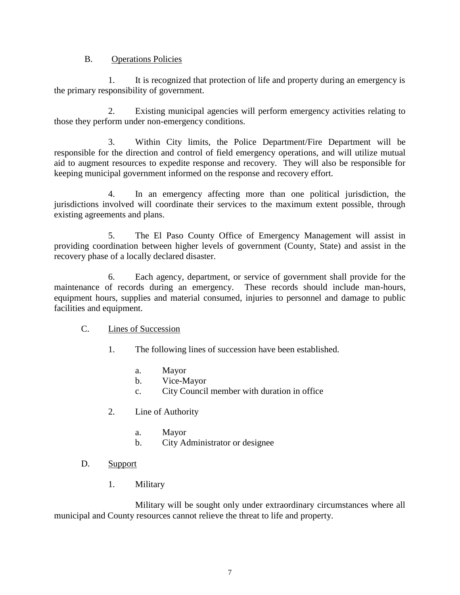#### B. Operations Policies

1. It is recognized that protection of life and property during an emergency is the primary responsibility of government.

2. Existing municipal agencies will perform emergency activities relating to those they perform under non-emergency conditions.

3. Within City limits, the Police Department/Fire Department will be responsible for the direction and control of field emergency operations, and will utilize mutual aid to augment resources to expedite response and recovery. They will also be responsible for keeping municipal government informed on the response and recovery effort.

4. In an emergency affecting more than one political jurisdiction, the jurisdictions involved will coordinate their services to the maximum extent possible, through existing agreements and plans.

5. The El Paso County Office of Emergency Management will assist in providing coordination between higher levels of government (County, State) and assist in the recovery phase of a locally declared disaster.

6. Each agency, department, or service of government shall provide for the maintenance of records during an emergency. These records should include man-hours, equipment hours, supplies and material consumed, injuries to personnel and damage to public facilities and equipment.

#### C. Lines of Succession

- 1. The following lines of succession have been established.
	- a. Mayor
	- b. Vice-Mayor
	- c. City Council member with duration in office
- 2. Line of Authority
	- a. Mayor
	- b. City Administrator or designee
- D. Support
	- 1. Military

Military will be sought only under extraordinary circumstances where all municipal and County resources cannot relieve the threat to life and property.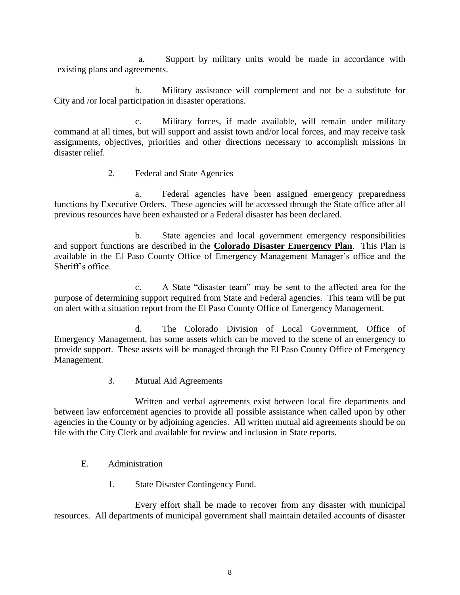a. Support by military units would be made in accordance with existing plans and agreements.

b. Military assistance will complement and not be a substitute for City and /or local participation in disaster operations.

c. Military forces, if made available, will remain under military command at all times, but will support and assist town and/or local forces, and may receive task assignments, objectives, priorities and other directions necessary to accomplish missions in disaster relief.

2. Federal and State Agencies

a. Federal agencies have been assigned emergency preparedness functions by Executive Orders. These agencies will be accessed through the State office after all previous resources have been exhausted or a Federal disaster has been declared.

b. State agencies and local government emergency responsibilities and support functions are described in the **Colorado Disaster Emergency Plan**. This Plan is available in the El Paso County Office of Emergency Management Manager's office and the Sheriff's office.

c. A State "disaster team" may be sent to the affected area for the purpose of determining support required from State and Federal agencies. This team will be put on alert with a situation report from the El Paso County Office of Emergency Management.

d. The Colorado Division of Local Government, Office of Emergency Management, has some assets which can be moved to the scene of an emergency to provide support. These assets will be managed through the El Paso County Office of Emergency Management.

3. Mutual Aid Agreements

Written and verbal agreements exist between local fire departments and between law enforcement agencies to provide all possible assistance when called upon by other agencies in the County or by adjoining agencies. All written mutual aid agreements should be on file with the City Clerk and available for review and inclusion in State reports.

- E. Administration
	- 1. State Disaster Contingency Fund.

Every effort shall be made to recover from any disaster with municipal resources. All departments of municipal government shall maintain detailed accounts of disaster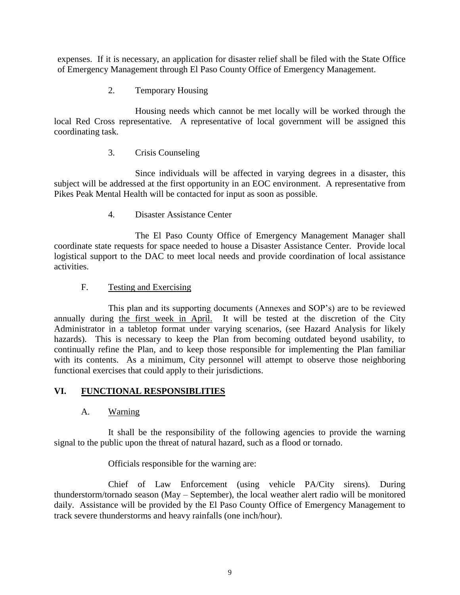expenses. If it is necessary, an application for disaster relief shall be filed with the State Office of Emergency Management through El Paso County Office of Emergency Management.

2. Temporary Housing

Housing needs which cannot be met locally will be worked through the local Red Cross representative. A representative of local government will be assigned this coordinating task.

#### 3. Crisis Counseling

Since individuals will be affected in varying degrees in a disaster, this subject will be addressed at the first opportunity in an EOC environment. A representative from Pikes Peak Mental Health will be contacted for input as soon as possible.

4. Disaster Assistance Center

The El Paso County Office of Emergency Management Manager shall coordinate state requests for space needed to house a Disaster Assistance Center. Provide local logistical support to the DAC to meet local needs and provide coordination of local assistance activities.

#### F. Testing and Exercising

This plan and its supporting documents (Annexes and SOP's) are to be reviewed annually during the first week in April. It will be tested at the discretion of the City Administrator in a tabletop format under varying scenarios, (see Hazard Analysis for likely hazards). This is necessary to keep the Plan from becoming outdated beyond usability, to continually refine the Plan, and to keep those responsible for implementing the Plan familiar with its contents. As a minimum, City personnel will attempt to observe those neighboring functional exercises that could apply to their jurisdictions.

#### **VI. FUNCTIONAL RESPONSIBLITIES**

#### A. Warning

It shall be the responsibility of the following agencies to provide the warning signal to the public upon the threat of natural hazard, such as a flood or tornado.

Officials responsible for the warning are:

Chief of Law Enforcement (using vehicle PA/City sirens). During thunderstorm/tornado season (May – September), the local weather alert radio will be monitored daily. Assistance will be provided by the El Paso County Office of Emergency Management to track severe thunderstorms and heavy rainfalls (one inch/hour).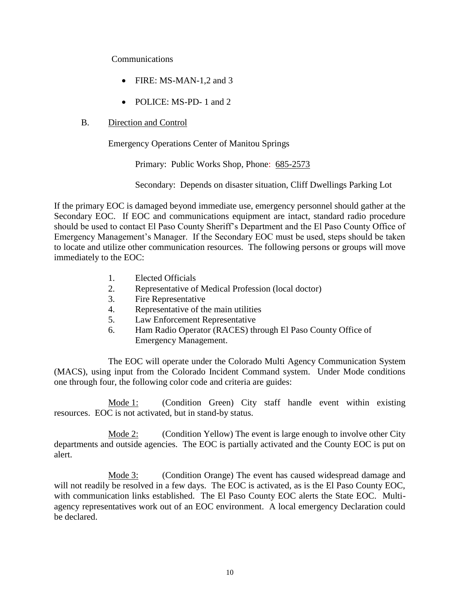#### Communications

- FIRE: MS-MAN-1,2 and 3
- POLICE: MS-PD- 1 and 2
- B. Direction and Control

Emergency Operations Center of Manitou Springs

Primary: Public Works Shop, Phone: 685-2573

Secondary: Depends on disaster situation, Cliff Dwellings Parking Lot

If the primary EOC is damaged beyond immediate use, emergency personnel should gather at the Secondary EOC. If EOC and communications equipment are intact, standard radio procedure should be used to contact El Paso County Sheriff's Department and the El Paso County Office of Emergency Management's Manager. If the Secondary EOC must be used, steps should be taken to locate and utilize other communication resources. The following persons or groups will move immediately to the EOC:

- 1. Elected Officials
- 2. Representative of Medical Profession (local doctor)
- 3. Fire Representative
- 4. Representative of the main utilities
- 5. Law Enforcement Representative
- 6. Ham Radio Operator (RACES) through El Paso County Office of Emergency Management.

The EOC will operate under the Colorado Multi Agency Communication System (MACS), using input from the Colorado Incident Command system. Under Mode conditions one through four, the following color code and criteria are guides:

Mode 1: (Condition Green) City staff handle event within existing resources. EOC is not activated, but in stand-by status.

Mode 2: (Condition Yellow) The event is large enough to involve other City departments and outside agencies. The EOC is partially activated and the County EOC is put on alert.

Mode 3: (Condition Orange) The event has caused widespread damage and will not readily be resolved in a few days. The EOC is activated, as is the El Paso County EOC, with communication links established. The El Paso County EOC alerts the State EOC. Multiagency representatives work out of an EOC environment. A local emergency Declaration could be declared.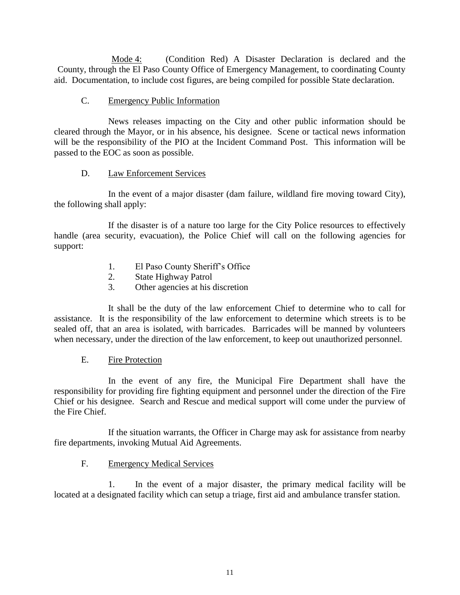Mode 4: (Condition Red) A Disaster Declaration is declared and the County, through the El Paso County Office of Emergency Management, to coordinating County aid. Documentation, to include cost figures, are being compiled for possible State declaration.

#### C. Emergency Public Information

News releases impacting on the City and other public information should be cleared through the Mayor, or in his absence, his designee. Scene or tactical news information will be the responsibility of the PIO at the Incident Command Post. This information will be passed to the EOC as soon as possible.

#### D. Law Enforcement Services

In the event of a major disaster (dam failure, wildland fire moving toward City), the following shall apply:

If the disaster is of a nature too large for the City Police resources to effectively handle (area security, evacuation), the Police Chief will call on the following agencies for support:

- 1. El Paso County Sheriff's Office
- 2. State Highway Patrol
- 3. Other agencies at his discretion

It shall be the duty of the law enforcement Chief to determine who to call for assistance. It is the responsibility of the law enforcement to determine which streets is to be sealed off, that an area is isolated, with barricades. Barricades will be manned by volunteers when necessary, under the direction of the law enforcement, to keep out unauthorized personnel.

#### E. Fire Protection

In the event of any fire, the Municipal Fire Department shall have the responsibility for providing fire fighting equipment and personnel under the direction of the Fire Chief or his designee. Search and Rescue and medical support will come under the purview of the Fire Chief.

If the situation warrants, the Officer in Charge may ask for assistance from nearby fire departments, invoking Mutual Aid Agreements.

#### F. Emergency Medical Services

1. In the event of a major disaster, the primary medical facility will be located at a designated facility which can setup a triage, first aid and ambulance transfer station.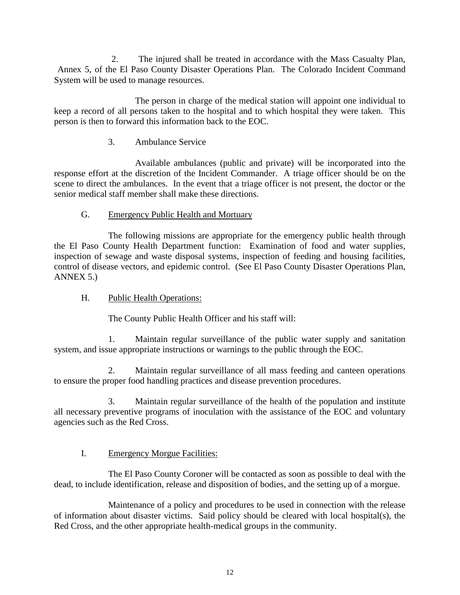2. The injured shall be treated in accordance with the Mass Casualty Plan, Annex 5, of the El Paso County Disaster Operations Plan. The Colorado Incident Command System will be used to manage resources.

The person in charge of the medical station will appoint one individual to keep a record of all persons taken to the hospital and to which hospital they were taken. This person is then to forward this information back to the EOC.

#### 3. Ambulance Service

Available ambulances (public and private) will be incorporated into the response effort at the discretion of the Incident Commander. A triage officer should be on the scene to direct the ambulances. In the event that a triage officer is not present, the doctor or the senior medical staff member shall make these directions.

#### G. Emergency Public Health and Mortuary

The following missions are appropriate for the emergency public health through the El Paso County Health Department function: Examination of food and water supplies, inspection of sewage and waste disposal systems, inspection of feeding and housing facilities, control of disease vectors, and epidemic control. (See El Paso County Disaster Operations Plan, ANNEX 5.)

#### H. Public Health Operations:

The County Public Health Officer and his staff will:

1. Maintain regular surveillance of the public water supply and sanitation system, and issue appropriate instructions or warnings to the public through the EOC.

2. Maintain regular surveillance of all mass feeding and canteen operations to ensure the proper food handling practices and disease prevention procedures.

3. Maintain regular surveillance of the health of the population and institute all necessary preventive programs of inoculation with the assistance of the EOC and voluntary agencies such as the Red Cross.

#### I. Emergency Morgue Facilities:

The El Paso County Coroner will be contacted as soon as possible to deal with the dead, to include identification, release and disposition of bodies, and the setting up of a morgue.

Maintenance of a policy and procedures to be used in connection with the release of information about disaster victims. Said policy should be cleared with local hospital(s), the Red Cross, and the other appropriate health-medical groups in the community.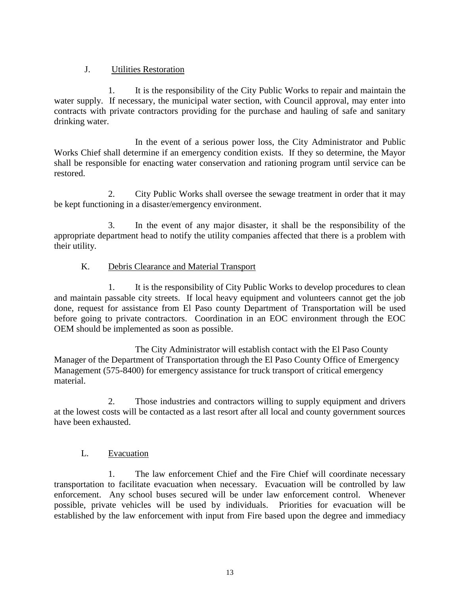#### J. Utilities Restoration

1. It is the responsibility of the City Public Works to repair and maintain the water supply. If necessary, the municipal water section, with Council approval, may enter into contracts with private contractors providing for the purchase and hauling of safe and sanitary drinking water.

In the event of a serious power loss, the City Administrator and Public Works Chief shall determine if an emergency condition exists. If they so determine, the Mayor shall be responsible for enacting water conservation and rationing program until service can be restored.

2. City Public Works shall oversee the sewage treatment in order that it may be kept functioning in a disaster/emergency environment.

3. In the event of any major disaster, it shall be the responsibility of the appropriate department head to notify the utility companies affected that there is a problem with their utility.

#### K. Debris Clearance and Material Transport

1. It is the responsibility of City Public Works to develop procedures to clean and maintain passable city streets. If local heavy equipment and volunteers cannot get the job done, request for assistance from El Paso county Department of Transportation will be used before going to private contractors. Coordination in an EOC environment through the EOC OEM should be implemented as soon as possible.

The City Administrator will establish contact with the El Paso County Manager of the Department of Transportation through the El Paso County Office of Emergency Management (575-8400) for emergency assistance for truck transport of critical emergency material.

2. Those industries and contractors willing to supply equipment and drivers at the lowest costs will be contacted as a last resort after all local and county government sources have been exhausted.

#### L. Evacuation

1. The law enforcement Chief and the Fire Chief will coordinate necessary transportation to facilitate evacuation when necessary. Evacuation will be controlled by law enforcement. Any school buses secured will be under law enforcement control. Whenever possible, private vehicles will be used by individuals. Priorities for evacuation will be established by the law enforcement with input from Fire based upon the degree and immediacy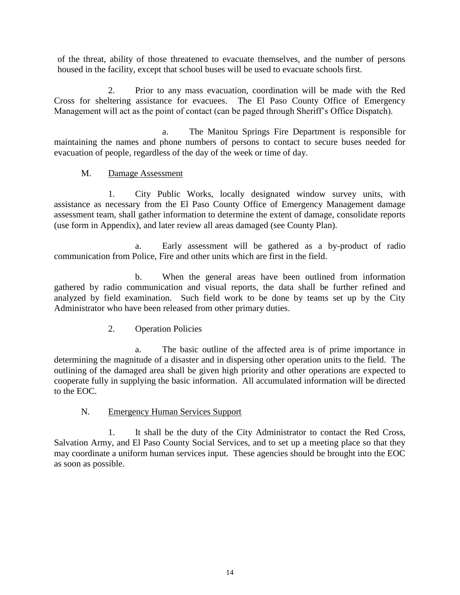of the threat, ability of those threatened to evacuate themselves, and the number of persons housed in the facility, except that school buses will be used to evacuate schools first.

2. Prior to any mass evacuation, coordination will be made with the Red Cross for sheltering assistance for evacuees. The El Paso County Office of Emergency Management will act as the point of contact (can be paged through Sheriff's Office Dispatch).

a. The Manitou Springs Fire Department is responsible for maintaining the names and phone numbers of persons to contact to secure buses needed for evacuation of people, regardless of the day of the week or time of day.

#### M. Damage Assessment

1. City Public Works, locally designated window survey units, with assistance as necessary from the El Paso County Office of Emergency Management damage assessment team, shall gather information to determine the extent of damage, consolidate reports (use form in Appendix), and later review all areas damaged (see County Plan).

a. Early assessment will be gathered as a by-product of radio communication from Police, Fire and other units which are first in the field.

b. When the general areas have been outlined from information gathered by radio communication and visual reports, the data shall be further refined and analyzed by field examination. Such field work to be done by teams set up by the City Administrator who have been released from other primary duties.

2. Operation Policies

a. The basic outline of the affected area is of prime importance in determining the magnitude of a disaster and in dispersing other operation units to the field. The outlining of the damaged area shall be given high priority and other operations are expected to cooperate fully in supplying the basic information. All accumulated information will be directed to the EOC.

#### N. Emergency Human Services Support

1. It shall be the duty of the City Administrator to contact the Red Cross, Salvation Army, and El Paso County Social Services, and to set up a meeting place so that they may coordinate a uniform human services input. These agencies should be brought into the EOC as soon as possible.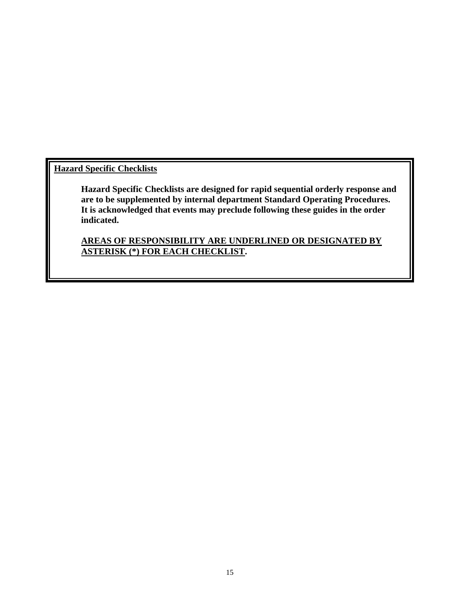**Hazard Specific Checklists**

**Hazard Specific Checklists are designed for rapid sequential orderly response and are to be supplemented by internal department Standard Operating Procedures. It is acknowledged that events may preclude following these guides in the order indicated.**

**AREAS OF RESPONSIBILITY ARE UNDERLINED OR DESIGNATED BY ASTERISK (\*) FOR EACH CHECKLIST.**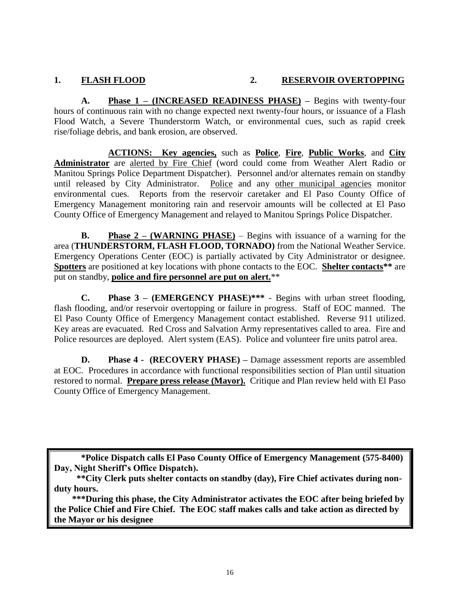#### **1. FLASH FLOOD 2. RESERVOIR OVERTOPPING**

**A. Phase 1 – (INCREASED READINESS PHASE) –** Begins with twenty-four hours of continuous rain with no change expected next twenty-four hours, or issuance of a Flash Flood Watch, a Severe Thunderstorm Watch, or environmental cues, such as rapid creek rise/foliage debris, and bank erosion, are observed.

**ACTIONS: Key agencies,** such as **Police**, **Fire**, **Public Works**, and **City Administrator** are alerted by Fire Chief (word could come from Weather Alert Radio or Manitou Springs Police Department Dispatcher). Personnel and/or alternates remain on standby until released by City Administrator. Police and any other municipal agencies monitor environmental cues. Reports from the reservoir caretaker and El Paso County Office of Emergency Management monitoring rain and reservoir amounts will be collected at El Paso County Office of Emergency Management and relayed to Manitou Springs Police Dispatcher.

**B. Phase 2 – (WARNING PHASE)** – Begins with issuance of a warning for the area (**THUNDERSTORM, FLASH FLOOD, TORNADO)** from the National Weather Service. Emergency Operations Center (EOC) is partially activated by City Administrator or designee. **Spotters** are positioned at key locations with phone contacts to the EOC. **Shelter contacts\*\*** are put on standby, **police and fire personnel are put on alert.**\*\*

**C. Phase 3 – (EMERGENCY PHASE)\*\*\*** - Begins with urban street flooding, flash flooding, and/or reservoir overtopping or failure in progress. Staff of EOC manned. The El Paso County Office of Emergency Management contact established. Reverse 911 utilized. Key areas are evacuated. Red Cross and Salvation Army representatives called to area. Fire and Police resources are deployed. Alert system (EAS). Police and volunteer fire units patrol area.

**D. Phase 4 - (RECOVERY PHASE) –** Damage assessment reports are assembled at EOC. Procedures in accordance with functional responsibilities section of Plan until situation restored to normal. **Prepare press release (Mayor).** Critique and Plan review held with El Paso County Office of Emergency Management.

**\*Police Dispatch calls El Paso County Office of Emergency Management (575-8400) Day, Night Sheriff's Office Dispatch).**

 **\*\*\*During this phase, the City Administrator activates the EOC after being briefed by the Police Chief and Fire Chief. The EOC staff makes calls and take action as directed by the Mayor or his designee**

 **<sup>\*\*</sup>City Clerk puts shelter contacts on standby (day), Fire Chief activates during nonduty hours.**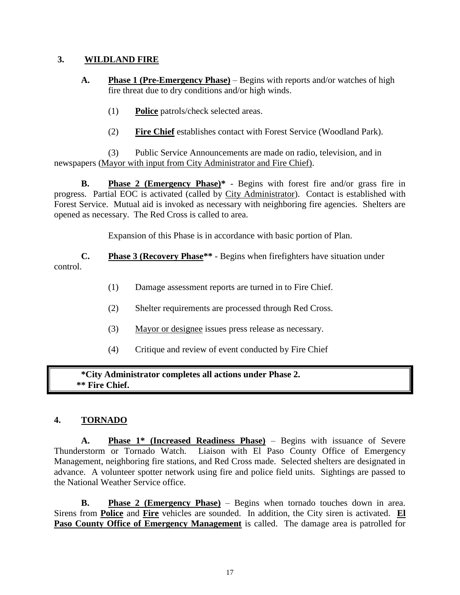#### **3. WILDLAND FIRE**

- **A. Phase 1 (Pre-Emergency Phase)** Begins with reports and/or watches of high fire threat due to dry conditions and/or high winds.
	- (1) **Police** patrols/check selected areas.
	- (2) **Fire Chief** establishes contact with Forest Service (Woodland Park).

(3) Public Service Announcements are made on radio, television, and in newspapers (Mayor with input from City Administrator and Fire Chief).

**B. Phase 2 (Emergency Phase)\*** - Begins with forest fire and/or grass fire in progress. Partial EOC is activated (called by City Administrator). Contact is established with Forest Service. Mutual aid is invoked as necessary with neighboring fire agencies. Shelters are opened as necessary. The Red Cross is called to area.

Expansion of this Phase is in accordance with basic portion of Plan.

**C. Phase 3 (Recovery Phase\*\*** - Begins when firefighters have situation under control.

- (1) Damage assessment reports are turned in to Fire Chief.
- (2) Shelter requirements are processed through Red Cross.
- (3) Mayor or designee issues press release as necessary.
- (4) Critique and review of event conducted by Fire Chief

**\*City Administrator completes all actions under Phase 2. \*\* Fire Chief.**

#### **4. TORNADO**

**A. Phase 1\* (Increased Readiness Phase)** – Begins with issuance of Severe Thunderstorm or Tornado Watch. Liaison with El Paso County Office of Emergency Management, neighboring fire stations, and Red Cross made. Selected shelters are designated in advance. A volunteer spotter network using fire and police field units. Sightings are passed to the National Weather Service office.

**B. Phase 2 (Emergency Phase)** – Begins when tornado touches down in area. Sirens from **Police** and **Fire** vehicles are sounded. In addition, the City siren is activated. **El Paso County Office of Emergency Management** is called. The damage area is patrolled for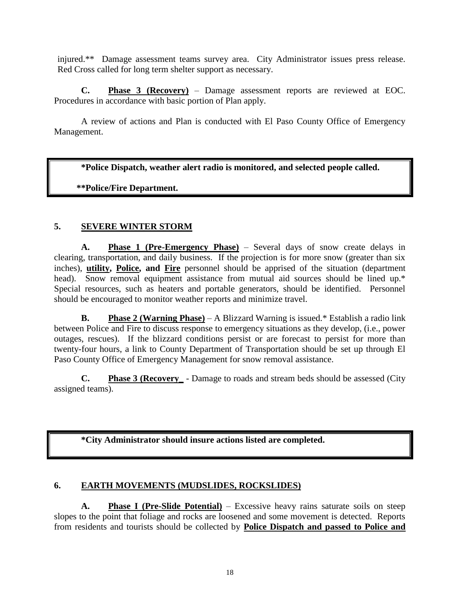injured.\*\* Damage assessment teams survey area. City Administrator issues press release. Red Cross called for long term shelter support as necessary.

**C. Phase 3 (Recovery)** – Damage assessment reports are reviewed at EOC. Procedures in accordance with basic portion of Plan apply.

A review of actions and Plan is conducted with El Paso County Office of Emergency Management.

**\*Police Dispatch, weather alert radio is monitored, and selected people called.**

#### **\*\*Police/Fire Department.**

#### **5. SEVERE WINTER STORM**

**A. Phase 1 (Pre-Emergency Phase)** – Several days of snow create delays in clearing, transportation, and daily business. If the projection is for more snow (greater than six inches), **utility, Police, and Fire** personnel should be apprised of the situation (department head). Snow removal equipment assistance from mutual aid sources should be lined up.\* Special resources, such as heaters and portable generators, should be identified. Personnel should be encouraged to monitor weather reports and minimize travel.

**B. Phase 2 (Warning Phase)** – A Blizzard Warning is issued.\* Establish a radio link between Police and Fire to discuss response to emergency situations as they develop, (i.e., power outages, rescues). If the blizzard conditions persist or are forecast to persist for more than twenty-four hours, a link to County Department of Transportation should be set up through El Paso County Office of Emergency Management for snow removal assistance.

**C. Phase 3 (Recovery\_** - Damage to roads and stream beds should be assessed (City assigned teams).

**\*City Administrator should insure actions listed are completed.**

#### **6. EARTH MOVEMENTS (MUDSLIDES, ROCKSLIDES)**

**A. Phase I (Pre-Slide Potential)** – Excessive heavy rains saturate soils on steep slopes to the point that foliage and rocks are loosened and some movement is detected. Reports from residents and tourists should be collected by **Police Dispatch and passed to Police and**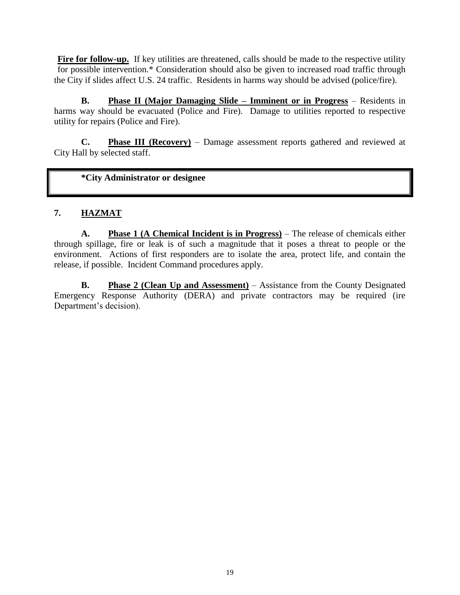**Fire for follow-up.** If key utilities are threatened, calls should be made to the respective utility for possible intervention.\* Consideration should also be given to increased road traffic through the City if slides affect U.S. 24 traffic. Residents in harms way should be advised (police/fire).

**B. Phase II (Major Damaging Slide – Imminent or in Progress** – Residents in harms way should be evacuated (Police and Fire). Damage to utilities reported to respective utility for repairs (Police and Fire).

**C. Phase III (Recovery)** – Damage assessment reports gathered and reviewed at City Hall by selected staff.

**\*City Administrator or designee**

#### **7. HAZMAT**

**A. Phase 1 (A Chemical Incident is in Progress)** – The release of chemicals either through spillage, fire or leak is of such a magnitude that it poses a threat to people or the environment. Actions of first responders are to isolate the area, protect life, and contain the release, if possible. Incident Command procedures apply.

**B. Phase 2 (Clean Up and Assessment)** – Assistance from the County Designated Emergency Response Authority (DERA) and private contractors may be required (ire Department's decision).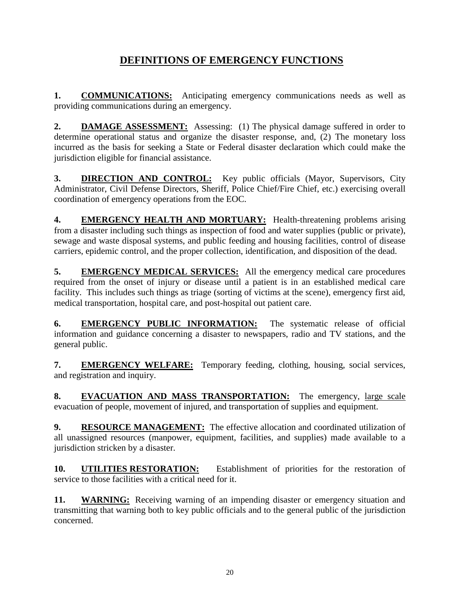# **DEFINITIONS OF EMERGENCY FUNCTIONS**

**1. COMMUNICATIONS:** Anticipating emergency communications needs as well as providing communications during an emergency.

**2. DAMAGE ASSESSMENT:** Assessing: (1) The physical damage suffered in order to determine operational status and organize the disaster response, and, (2) The monetary loss incurred as the basis for seeking a State or Federal disaster declaration which could make the jurisdiction eligible for financial assistance.

**3. DIRECTION AND CONTROL:** Key public officials (Mayor, Supervisors, City Administrator, Civil Defense Directors, Sheriff, Police Chief/Fire Chief, etc.) exercising overall coordination of emergency operations from the EOC.

**4. EMERGENCY HEALTH AND MORTUARY:** Health-threatening problems arising from a disaster including such things as inspection of food and water supplies (public or private), sewage and waste disposal systems, and public feeding and housing facilities, control of disease carriers, epidemic control, and the proper collection, identification, and disposition of the dead.

**5. EMERGENCY MEDICAL SERVICES:** All the emergency medical care procedures required from the onset of injury or disease until a patient is in an established medical care facility. This includes such things as triage (sorting of victims at the scene), emergency first aid, medical transportation, hospital care, and post-hospital out patient care.

**6. EMERGENCY PUBLIC INFORMATION:** The systematic release of official information and guidance concerning a disaster to newspapers, radio and TV stations, and the general public.

**7. EMERGENCY WELFARE:** Temporary feeding, clothing, housing, social services, and registration and inquiry.

**8. EVACUATION AND MASS TRANSPORTATION:** The emergency, large scale evacuation of people, movement of injured, and transportation of supplies and equipment.

**9. RESOURCE MANAGEMENT:** The effective allocation and coordinated utilization of all unassigned resources (manpower, equipment, facilities, and supplies) made available to a jurisdiction stricken by a disaster.

**10. UTILITIES RESTORATION:** Establishment of priorities for the restoration of service to those facilities with a critical need for it.

**11. WARNING:** Receiving warning of an impending disaster or emergency situation and transmitting that warning both to key public officials and to the general public of the jurisdiction concerned.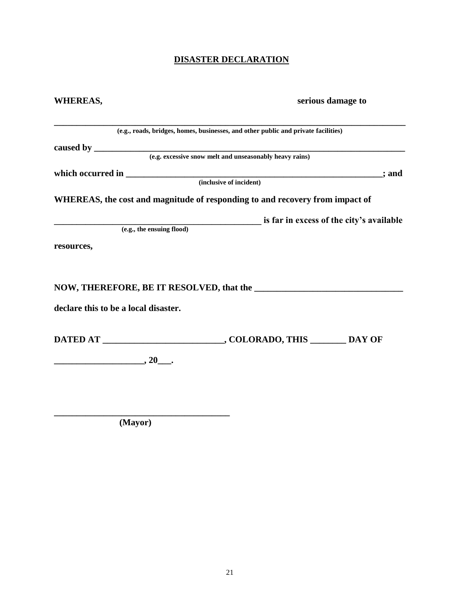## **DISASTER DECLARATION**

| <b>WHEREAS,</b>                      |                                                                                                                               | serious damage to |
|--------------------------------------|-------------------------------------------------------------------------------------------------------------------------------|-------------------|
|                                      | (e.g., roads, bridges, homes, businesses, and other public and private facilities)                                            |                   |
|                                      |                                                                                                                               |                   |
|                                      |                                                                                                                               |                   |
|                                      |                                                                                                                               | ; and             |
|                                      |                                                                                                                               |                   |
|                                      | WHEREAS, the cost and magnitude of responding to and recovery from impact of                                                  |                   |
|                                      |                                                                                                                               |                   |
|                                      | $( \varepsilon, \varepsilon, \varepsilon, \varepsilon )$ is far in excess of the city's available<br>$\overline{\varepsilon}$ |                   |
| resources,                           |                                                                                                                               |                   |
|                                      |                                                                                                                               |                   |
|                                      |                                                                                                                               |                   |
| declare this to be a local disaster. |                                                                                                                               |                   |
|                                      | DATED AT ______________________________, COLORADO, THIS ________ DAY OF                                                       |                   |
| $\overbrace{\hspace{2.5cm}}^{20}$    |                                                                                                                               |                   |
|                                      |                                                                                                                               |                   |
|                                      |                                                                                                                               |                   |
|                                      |                                                                                                                               |                   |

 **(Mayor)**

**\_\_\_\_\_\_\_\_\_\_\_\_\_\_\_\_\_\_\_\_\_\_\_\_\_\_\_\_\_\_\_\_\_\_\_\_\_\_\_**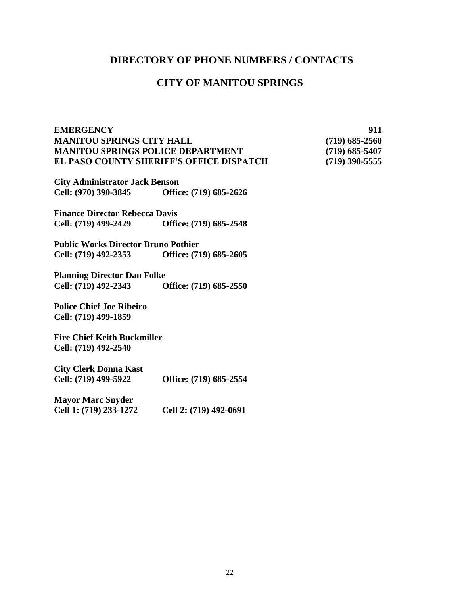#### **DIRECTORY OF PHONE NUMBERS / CONTACTS**

#### **CITY OF MANITOU SPRINGS**

#### **EMERGENCY 911 MANITOU SPRINGS CITY HALL (719) 685-2560 MANITOU SPRINGS POLICE DEPARTMENT (719) 685-5407 EL PASO COUNTY SHERIFF'S OFFICE DISPATCH (719) 390-5555**

**City Administrator Jack Benson Cell: (970) 390-3845 Office: (719) 685-2626**

**Finance Director Rebecca Davis Cell: (719) 499-2429 Office: (719) 685-2548** 

**Public Works Director Bruno Pothier Cell: (719) 492-2353 Office: (719) 685-2605**

**Planning Director Dan Folke Cell: (719) 492-2343 Office: (719) 685-2550**

**Police Chief Joe Ribeiro Cell: (719) 499-1859**

**Fire Chief Keith Buckmiller Cell: (719) 492-2540**

**City Clerk Donna Kast Cell: (719) 499-5922 Office: (719) 685-2554**

**Mayor Marc Snyder Cell 1: (719) 233-1272 Cell 2: (719) 492-0691**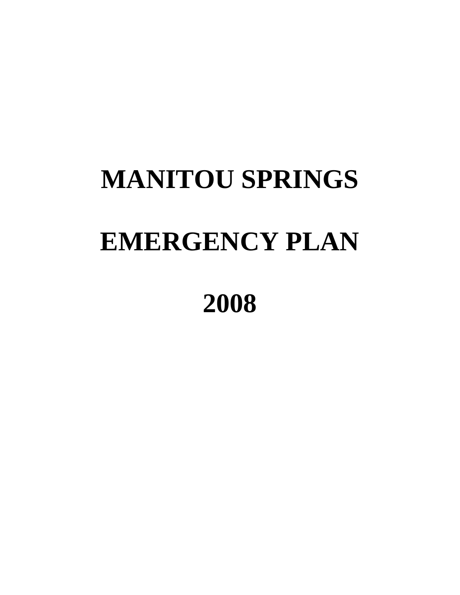# **MANITOU SPRINGS EMERGENCY PLAN**

# **2008**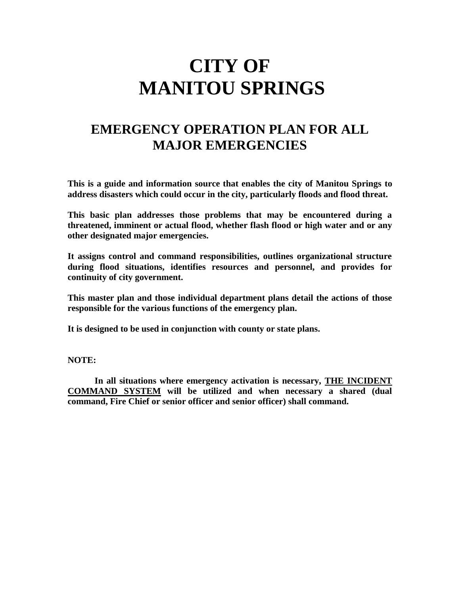# **CITY OF MANITOU SPRINGS**

# **EMERGENCY OPERATION PLAN FOR ALL MAJOR EMERGENCIES**

**This is a guide and information source that enables the city of Manitou Springs to address disasters which could occur in the city, particularly floods and flood threat.**

**This basic plan addresses those problems that may be encountered during a threatened, imminent or actual flood, whether flash flood or high water and or any other designated major emergencies.**

**It assigns control and command responsibilities, outlines organizational structure during flood situations, identifies resources and personnel, and provides for continuity of city government.**

**This master plan and those individual department plans detail the actions of those responsible for the various functions of the emergency plan.**

**It is designed to be used in conjunction with county or state plans.** 

**NOTE:** 

 **In all situations where emergency activation is necessary, THE INCIDENT COMMAND SYSTEM will be utilized and when necessary a shared (dual command, Fire Chief or senior officer and senior officer) shall command.**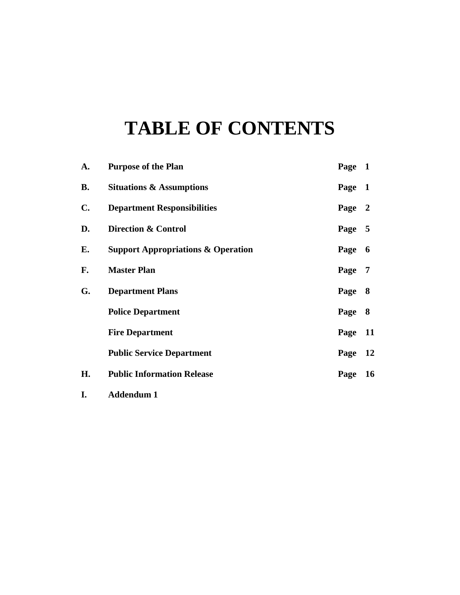# **TABLE OF CONTENTS**

| A.             | <b>Purpose of the Plan</b>                    | Page 1 |                |
|----------------|-----------------------------------------------|--------|----------------|
| <b>B.</b>      | <b>Situations &amp; Assumptions</b>           | Page   | $\mathbf{1}$   |
| $\mathbf{C}$ . | <b>Department Responsibilities</b>            | Page   | $\mathbf{2}$   |
| D.             | Direction & Control                           | Page 5 |                |
| Е.             | <b>Support Appropriations &amp; Operation</b> | Page   | 6              |
| F.             | <b>Master Plan</b>                            | Page   | $\overline{7}$ |
| G.             | <b>Department Plans</b>                       | Page   | 8              |
|                | <b>Police Department</b>                      | Page   | 8              |
|                | <b>Fire Department</b>                        | Page   | <b>11</b>      |
|                | <b>Public Service Department</b>              | Page   | <b>12</b>      |
| Н.             | <b>Public Information Release</b>             | Page   | <b>16</b>      |
| I.             | <b>Addendum 1</b>                             |        |                |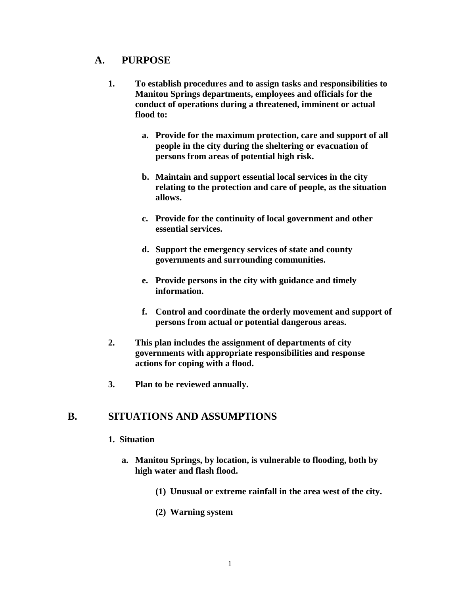#### **A. PURPOSE**

- **1. To establish procedures and to assign tasks and responsibilities to Manitou Springs departments, employees and officials for the conduct of operations during a threatened, imminent or actual flood to:**
	- **a. Provide for the maximum protection, care and support of all people in the city during the sheltering or evacuation of persons from areas of potential high risk.**
	- **b. Maintain and support essential local services in the city relating to the protection and care of people, as the situation allows.**
	- **c. Provide for the continuity of local government and other essential services.**
	- **d. Support the emergency services of state and county governments and surrounding communities.**
	- **e. Provide persons in the city with guidance and timely information.**
	- **f. Control and coordinate the orderly movement and support of persons from actual or potential dangerous areas.**
- **2. This plan includes the assignment of departments of city governments with appropriate responsibilities and response actions for coping with a flood.**
- **3. Plan to be reviewed annually.**

#### **B. SITUATIONS AND ASSUMPTIONS**

#### **1. Situation**

- **a. Manitou Springs, by location, is vulnerable to flooding, both by high water and flash flood.**
	- **(1) Unusual or extreme rainfall in the area west of the city.**
	- **(2) Warning system**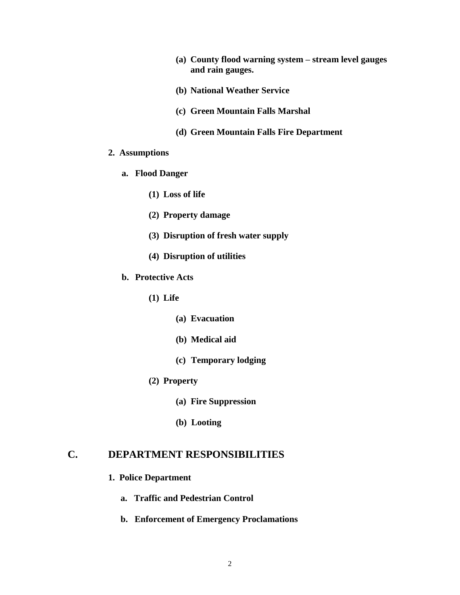- **(a) County flood warning system – stream level gauges and rain gauges.**
- **(b) National Weather Service**
- **(c) Green Mountain Falls Marshal**
- **(d) Green Mountain Falls Fire Department**

#### **2. Assumptions**

- **a. Flood Danger**
	- **(1) Loss of life**
	- **(2) Property damage**
	- **(3) Disruption of fresh water supply**
	- **(4) Disruption of utilities**
- **b. Protective Acts**
	- **(1) Life**
		- **(a) Evacuation**
		- **(b) Medical aid**
		- **(c) Temporary lodging**
	- **(2) Property**
		- **(a) Fire Suppression**
		- **(b) Looting**

#### **C. DEPARTMENT RESPONSIBILITIES**

#### **1. Police Department**

- **a. Traffic and Pedestrian Control**
- **b. Enforcement of Emergency Proclamations**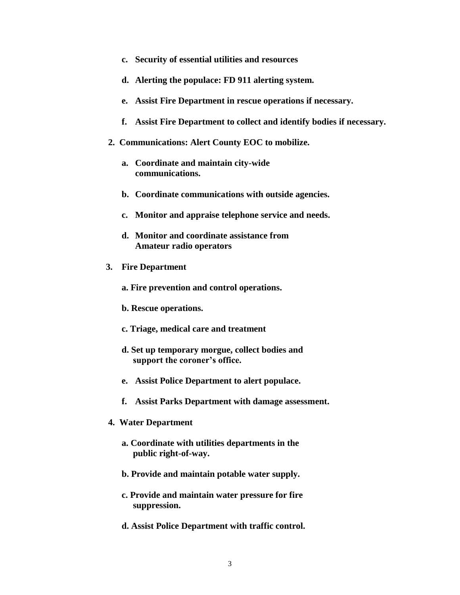- **c. Security of essential utilities and resources**
- **d. Alerting the populace: FD 911 alerting system.**
- **e. Assist Fire Department in rescue operations if necessary.**
- **f. Assist Fire Department to collect and identify bodies if necessary.**
- **2. Communications: Alert County EOC to mobilize.**
	- **a. Coordinate and maintain city-wide communications.**
	- **b. Coordinate communications with outside agencies.**
	- **c. Monitor and appraise telephone service and needs.**
	- **d. Monitor and coordinate assistance from Amateur radio operators**
- **3. Fire Department**
	- **a. Fire prevention and control operations.**
	- **b. Rescue operations.**
	- **c. Triage, medical care and treatment**
	- **d. Set up temporary morgue, collect bodies and support the coroner's office.**
	- **e. Assist Police Department to alert populace.**
	- **f. Assist Parks Department with damage assessment.**
- **4. Water Department**
	- **a. Coordinate with utilities departments in the public right-of-way.**
	- **b. Provide and maintain potable water supply.**
	- **c. Provide and maintain water pressure for fire suppression.**
	- **d. Assist Police Department with traffic control.**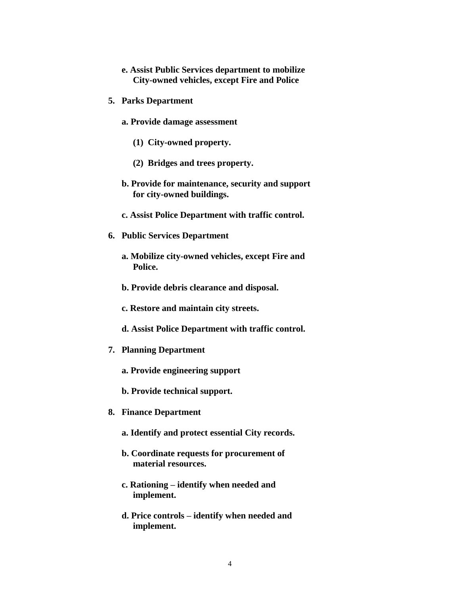- **e. Assist Public Services department to mobilize City-owned vehicles, except Fire and Police**
- **5. Parks Department**
	- **a. Provide damage assessment**
		- **(1) City-owned property.**
		- **(2) Bridges and trees property.**
	- **b. Provide for maintenance, security and support for city-owned buildings.**
	- **c. Assist Police Department with traffic control.**
- **6. Public Services Department**
	- **a. Mobilize city-owned vehicles, except Fire and Police.**
	- **b. Provide debris clearance and disposal.**
	- **c. Restore and maintain city streets.**
	- **d. Assist Police Department with traffic control.**
- **7. Planning Department**
	- **a. Provide engineering support**
	- **b. Provide technical support.**
- **8. Finance Department**
	- **a. Identify and protect essential City records.**
	- **b. Coordinate requests for procurement of material resources.**
	- **c. Rationing – identify when needed and implement.**
	- **d. Price controls – identify when needed and implement.**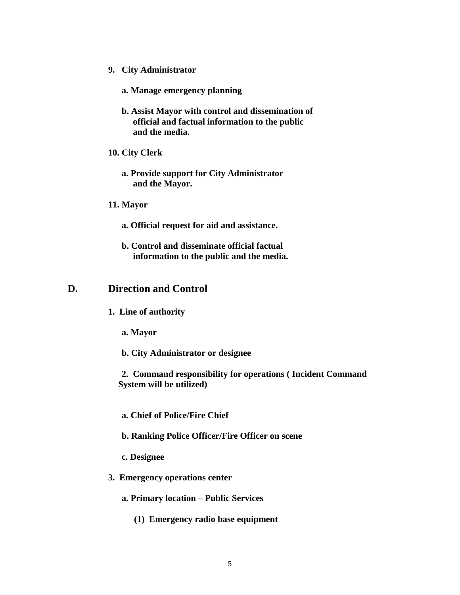- **9. City Administrator** 
	- **a. Manage emergency planning**
	- **b. Assist Mayor with control and dissemination of official and factual information to the public and the media.**
- **10. City Clerk**
	- **a. Provide support for City Administrator and the Mayor.**
- **11. Mayor**
	- **a. Official request for aid and assistance.**
	- **b. Control and disseminate official factual information to the public and the media.**

#### **D. Direction and Control**

- **1. Line of authority**
	- **a. Mayor**
	- **b. City Administrator or designee**

**2. Command responsibility for operations ( Incident Command System will be utilized)**

- **a. Chief of Police/Fire Chief**
- **b. Ranking Police Officer/Fire Officer on scene**
- **c. Designee**
- **3. Emergency operations center**
	- **a. Primary location – Public Services** 
		- **(1) Emergency radio base equipment**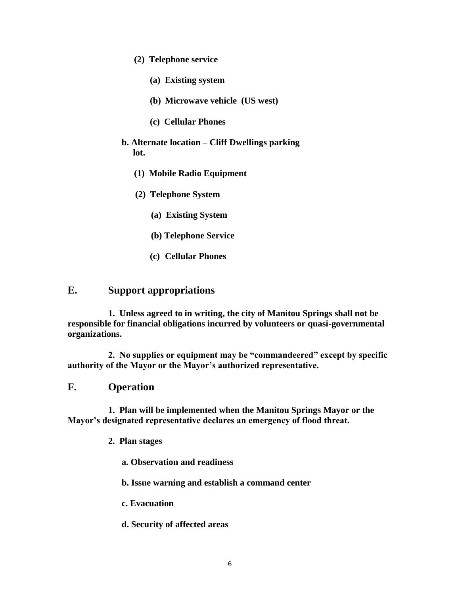- **(2) Telephone service**
	- **(a) Existing system**
	- **(b) Microwave vehicle (US west)**
	- **(c) Cellular Phones**
- **b. Alternate location – Cliff Dwellings parking lot.**
	- **(1) Mobile Radio Equipment**
	- **(2) Telephone System**
		- **(a) Existing System**
		- **(b) Telephone Service**
		- **(c) Cellular Phones**

#### **E. Support appropriations**

**1. Unless agreed to in writing, the city of Manitou Springs shall not be responsible for financial obligations incurred by volunteers or quasi-governmental organizations.**

**2. No supplies or equipment may be "commandeered" except by specific authority of the Mayor or the Mayor's authorized representative.**

#### **F. Operation**

**1. Plan will be implemented when the Manitou Springs Mayor or the Mayor's designated representative declares an emergency of flood threat.**

- **2. Plan stages**
	- **a. Observation and readiness**
	- **b. Issue warning and establish a command center**
	- **c. Evacuation**
	- **d. Security of affected areas**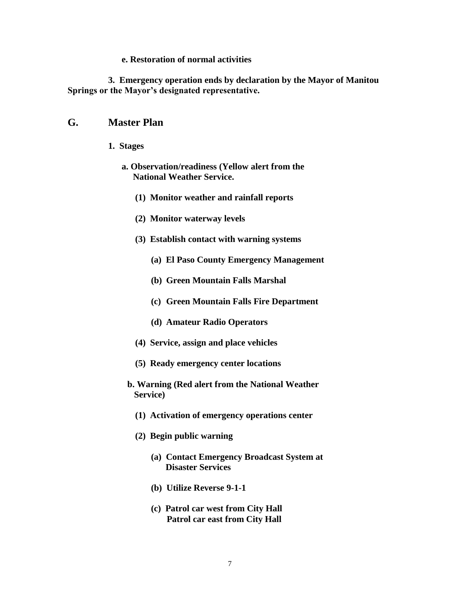#### **e. Restoration of normal activities**

**3. Emergency operation ends by declaration by the Mayor of Manitou Springs or the Mayor's designated representative.**

#### **G. Master Plan**

- **1. Stages**
	- **a. Observation/readiness (Yellow alert from the National Weather Service.**
		- **(1) Monitor weather and rainfall reports**
		- **(2) Monitor waterway levels**
		- **(3) Establish contact with warning systems**
			- **(a) El Paso County Emergency Management**
			- **(b) Green Mountain Falls Marshal**
			- **(c) Green Mountain Falls Fire Department**
			- **(d) Amateur Radio Operators**
		- **(4) Service, assign and place vehicles**
		- **(5) Ready emergency center locations**
		- **b. Warning (Red alert from the National Weather Service)**
			- **(1) Activation of emergency operations center**
			- **(2) Begin public warning**
				- **(a) Contact Emergency Broadcast System at Disaster Services**
				- **(b) Utilize Reverse 9-1-1**
				- **(c) Patrol car west from City Hall Patrol car east from City Hall**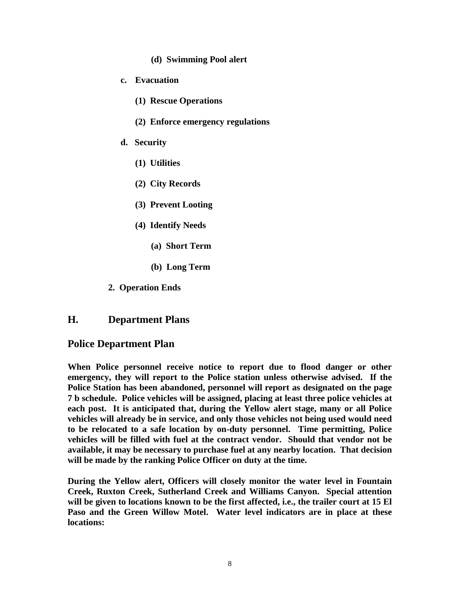- **(d) Swimming Pool alert**
- **c. Evacuation**
	- **(1) Rescue Operations**
	- **(2) Enforce emergency regulations**
- **d. Security**
	- **(1) Utilities**
	- **(2) City Records**
	- **(3) Prevent Looting**
	- **(4) Identify Needs**
		- **(a) Short Term**
		- **(b) Long Term**
- **2. Operation Ends**

#### **H. Department Plans**

#### **Police Department Plan**

**When Police personnel receive notice to report due to flood danger or other emergency, they will report to the Police station unless otherwise advised. If the Police Station has been abandoned, personnel will report as designated on the page 7 b schedule. Police vehicles will be assigned, placing at least three police vehicles at each post. It is anticipated that, during the Yellow alert stage, many or all Police vehicles will already be in service, and only those vehicles not being used would need to be relocated to a safe location by on-duty personnel. Time permitting, Police vehicles will be filled with fuel at the contract vendor. Should that vendor not be available, it may be necessary to purchase fuel at any nearby location. That decision will be made by the ranking Police Officer on duty at the time.**

**During the Yellow alert, Officers will closely monitor the water level in Fountain Creek, Ruxton Creek, Sutherland Creek and Williams Canyon. Special attention will be given to locations known to be the first affected, i.e., the trailer court at 15 El Paso and the Green Willow Motel. Water level indicators are in place at these locations:**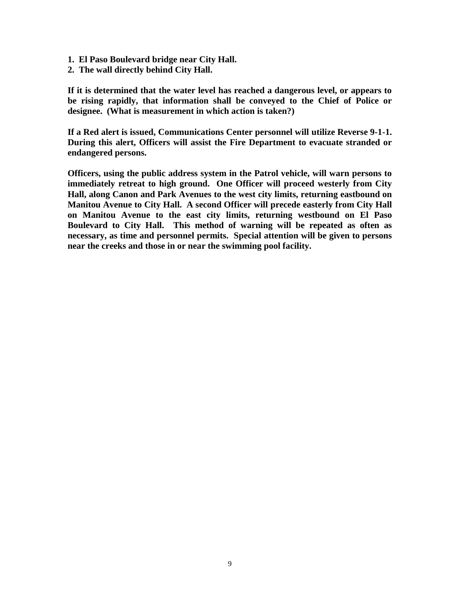- **1. El Paso Boulevard bridge near City Hall.**
- **2. The wall directly behind City Hall.**

**If it is determined that the water level has reached a dangerous level, or appears to be rising rapidly, that information shall be conveyed to the Chief of Police or designee. (What is measurement in which action is taken?)**

**If a Red alert is issued, Communications Center personnel will utilize Reverse 9-1-1. During this alert, Officers will assist the Fire Department to evacuate stranded or endangered persons.**

**Officers, using the public address system in the Patrol vehicle, will warn persons to immediately retreat to high ground. One Officer will proceed westerly from City Hall, along Canon and Park Avenues to the west city limits, returning eastbound on Manitou Avenue to City Hall. A second Officer will precede easterly from City Hall on Manitou Avenue to the east city limits, returning westbound on El Paso Boulevard to City Hall. This method of warning will be repeated as often as necessary, as time and personnel permits. Special attention will be given to persons near the creeks and those in or near the swimming pool facility.**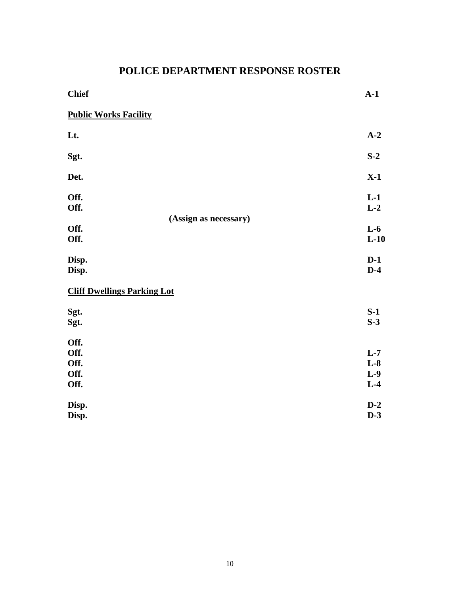# **POLICE DEPARTMENT RESPONSE ROSTER**

| <b>Chief</b>                         |                       | $A-1$                            |
|--------------------------------------|-----------------------|----------------------------------|
| <b>Public Works Facility</b>         |                       |                                  |
| Lt.                                  |                       | $A-2$                            |
| Sgt.                                 |                       | $S-2$                            |
| Det.                                 |                       | $X-1$                            |
| Off.<br>Off.                         | (Assign as necessary) | $L-1$<br>$L-2$                   |
| Off.<br>Off.                         |                       | $L-6$<br>$L-10$                  |
| Disp.<br>Disp.                       |                       | $D-1$<br>$D-4$                   |
| <b>Cliff Dwellings Parking Lot</b>   |                       |                                  |
| Sgt.<br>Sgt.                         |                       | $S-1$<br>$S-3$                   |
| Off.<br>Off.<br>Off.<br>Off.<br>Off. |                       | $L-7$<br>$L-8$<br>$L-9$<br>$L-4$ |
| Disp.<br>Disp.                       |                       | $D-2$<br>$D-3$                   |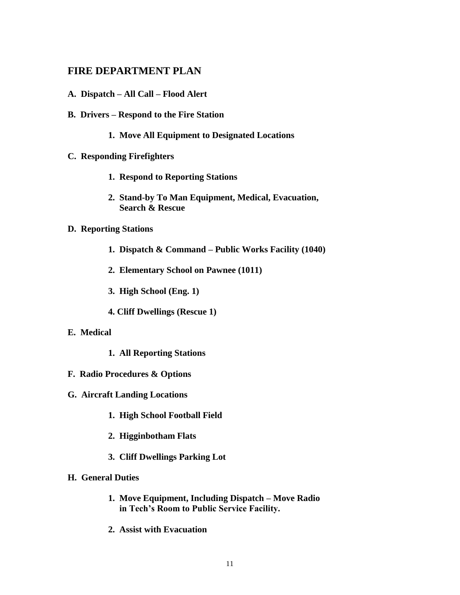#### **FIRE DEPARTMENT PLAN**

- **A. Dispatch – All Call – Flood Alert**
- **B. Drivers – Respond to the Fire Station**
	- **1. Move All Equipment to Designated Locations**
- **C. Responding Firefighters**
	- **1. Respond to Reporting Stations**
	- **2. Stand-by To Man Equipment, Medical, Evacuation, Search & Rescue**

#### **D. Reporting Stations**

- **1. Dispatch & Command – Public Works Facility (1040)**
- **2. Elementary School on Pawnee (1011)**
- **3. High School (Eng. 1)**
- **4. Cliff Dwellings (Rescue 1)**
- **E. Medical**
	- **1. All Reporting Stations**
- **F. Radio Procedures & Options**
- **G. Aircraft Landing Locations**
	- **1. High School Football Field**
	- **2. Higginbotham Flats**
	- **3. Cliff Dwellings Parking Lot**
- **H. General Duties**
	- **1. Move Equipment, Including Dispatch – Move Radio in Tech's Room to Public Service Facility.**
	- **2. Assist with Evacuation**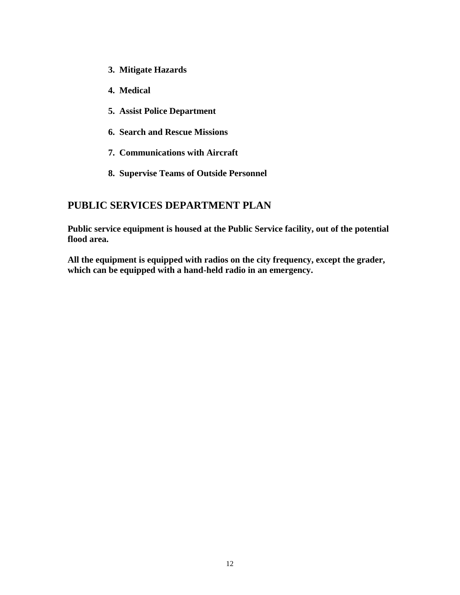- **3. Mitigate Hazards**
- **4. Medical**
- **5. Assist Police Department**
- **6. Search and Rescue Missions**
- **7. Communications with Aircraft**
- **8. Supervise Teams of Outside Personnel**

### **PUBLIC SERVICES DEPARTMENT PLAN**

**Public service equipment is housed at the Public Service facility, out of the potential flood area.**

**All the equipment is equipped with radios on the city frequency, except the grader, which can be equipped with a hand-held radio in an emergency.**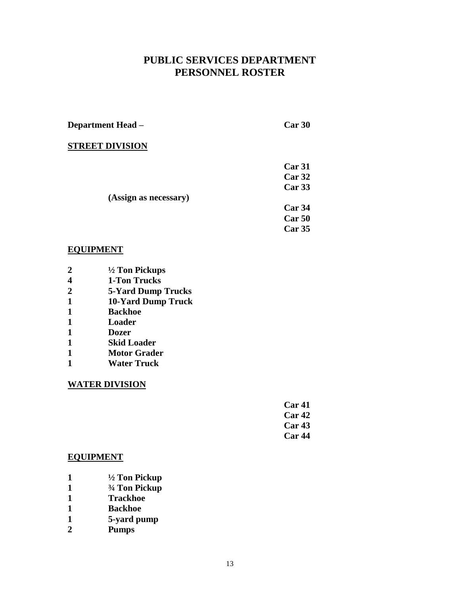## **PUBLIC SERVICES DEPARTMENT PERSONNEL ROSTER**

**Department Head – Car 30**

#### **STREET DIVISION**

 **Car 31 Car 32**

*Car* **33** 

- **(Assign as necessary)**
- **Car 34 Car 50**
- **Car 35**

#### **EQUIPMENT**

- **2 ½ Ton Pickups**
- **4 1-Ton Trucks**
- **2 5-Yard Dump Trucks**
- **1 10-Yard Dump Truck**
- **1 Backhoe**
- **1 Loader**
- **1 Dozer**
- **1 Skid Loader**
- **1 Motor Grader**
- **1 Water Truck**

#### **WATER DIVISION**

| Car <sub>41</sub> |
|-------------------|
| Car <sub>42</sub> |
| Car <sub>43</sub> |
| Car <sub>44</sub> |

#### **EQUIPMENT**

- **1 ½ Ton Pickup**
- **1 ¾ Ton Pickup**
- **1 Trackhoe**
- **1 Backhoe**
- **1 5-yard pump**
- **2 Pumps**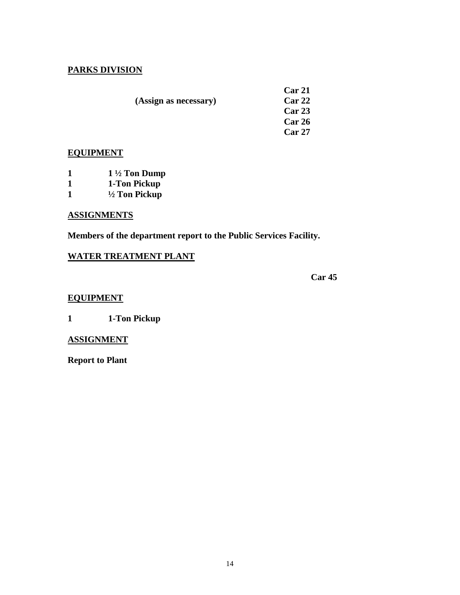#### **PARKS DIVISION**

 **Car 21 (Assign as necessary)** 

**Car 23 Car 26 Car 27**

#### **EQUIPMENT**

|  | $1\frac{1}{2}$ Ton Dump |
|--|-------------------------|
|--|-------------------------|

- **1 1-Ton Pickup**
- **1 ½ Ton Pickup**

#### **ASSIGNMENTS**

**Members of the department report to the Public Services Facility.**

#### **WATER TREATMENT PLANT**

**Car 45**

#### **EQUIPMENT**

**1 1-Ton Pickup**

#### **ASSIGNMENT**

**Report to Plant**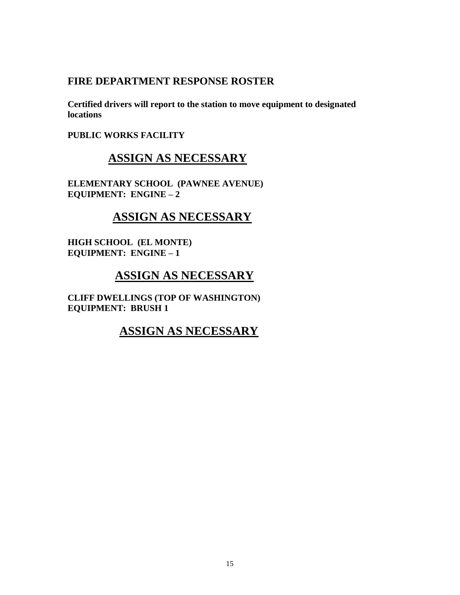#### **FIRE DEPARTMENT RESPONSE ROSTER**

**Certified drivers will report to the station to move equipment to designated locations**

**PUBLIC WORKS FACILITY**

# **ASSIGN AS NECESSARY**

**ELEMENTARY SCHOOL (PAWNEE AVENUE) EQUIPMENT: ENGINE – 2**

# **ASSIGN AS NECESSARY**

**HIGH SCHOOL (EL MONTE) EQUIPMENT: ENGINE – 1**

# **ASSIGN AS NECESSARY**

**CLIFF DWELLINGS (TOP OF WASHINGTON) EQUIPMENT: BRUSH 1**

## **ASSIGN AS NECESSARY**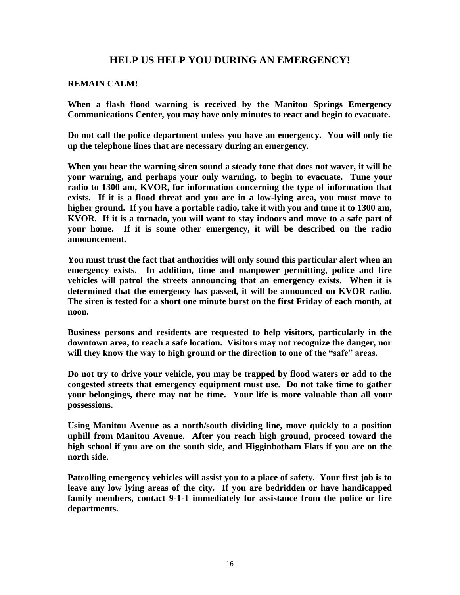#### **HELP US HELP YOU DURING AN EMERGENCY!**

#### **REMAIN CALM!**

**When a flash flood warning is received by the Manitou Springs Emergency Communications Center, you may have only minutes to react and begin to evacuate.**

**Do not call the police department unless you have an emergency. You will only tie up the telephone lines that are necessary during an emergency.**

**When you hear the warning siren sound a steady tone that does not waver, it will be your warning, and perhaps your only warning, to begin to evacuate. Tune your radio to 1300 am, KVOR, for information concerning the type of information that exists. If it is a flood threat and you are in a low-lying area, you must move to higher ground. If you have a portable radio, take it with you and tune it to 1300 am, KVOR. If it is a tornado, you will want to stay indoors and move to a safe part of your home. If it is some other emergency, it will be described on the radio announcement.**

**You must trust the fact that authorities will only sound this particular alert when an emergency exists. In addition, time and manpower permitting, police and fire vehicles will patrol the streets announcing that an emergency exists. When it is determined that the emergency has passed, it will be announced on KVOR radio. The siren is tested for a short one minute burst on the first Friday of each month, at noon.**

**Business persons and residents are requested to help visitors, particularly in the downtown area, to reach a safe location. Visitors may not recognize the danger, nor will they know the way to high ground or the direction to one of the "safe" areas.**

**Do not try to drive your vehicle, you may be trapped by flood waters or add to the congested streets that emergency equipment must use. Do not take time to gather your belongings, there may not be time. Your life is more valuable than all your possessions.**

**Using Manitou Avenue as a north/south dividing line, move quickly to a position uphill from Manitou Avenue. After you reach high ground, proceed toward the high school if you are on the south side, and Higginbotham Flats if you are on the north side.**

**Patrolling emergency vehicles will assist you to a place of safety. Your first job is to leave any low lying areas of the city. If you are bedridden or have handicapped family members, contact 9-1-1 immediately for assistance from the police or fire departments.**